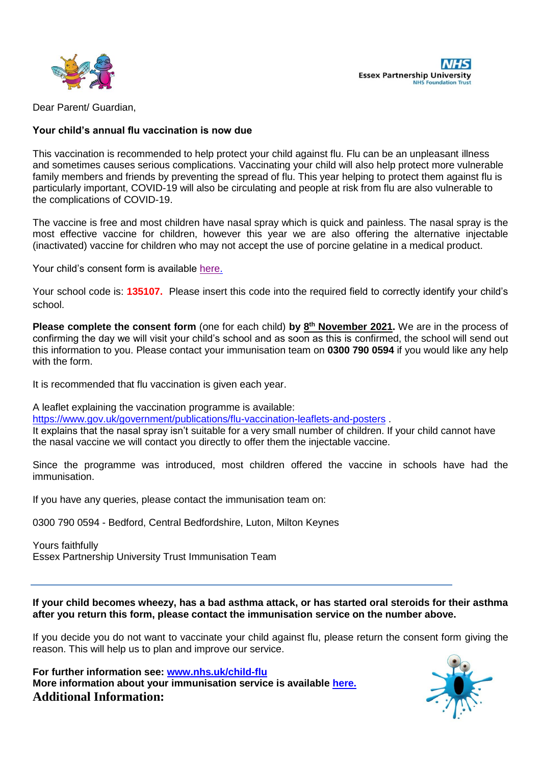



Dear Parent/ Guardian,

# **Your child's annual flu vaccination is now due**

This vaccination is recommended to help protect your child against flu. Flu can be an unpleasant illness and sometimes causes serious complications. Vaccinating your child will also help protect more vulnerable family members and friends by preventing the spread of flu. This year helping to protect them against flu is particularly important, COVID-19 will also be circulating and people at risk from flu are also vulnerable to the complications of COVID-19.

The vaccine is free and most children have nasal spray which is quick and painless. The nasal spray is the most effective vaccine for children, however this year we are also offering the alternative injectable (inactivated) vaccine for children who may not accept the use of porcine gelatine in a medical product.

Your child's consent form is available [here.](https://immsconsent.eput.nhs.uk/FluConsent/Form1/)

Your school code is: **135107.** Please insert this code into the required field to correctly identify your child's school.

**Please complete the consent form** (one for each child) **by 8 th November 2021.** We are in the process of confirming the day we will visit your child's school and as soon as this is confirmed, the school will send out this information to you. Please contact your immunisation team on **0300 790 0594** if you would like any help with the form.

It is recommended that flu vaccination is given each year.

A leaflet explaining the vaccination programme is available:

<https://www.gov.uk/government/publications/flu-vaccination-leaflets-and-posters> .

It explains that the nasal spray isn't suitable for a very small number of children. If your child cannot have the nasal vaccine we will contact you directly to offer them the injectable vaccine.

Since the programme was introduced, most children offered the vaccine in schools have had the immunisation.

If you have any queries, please contact the immunisation team on:

0300 790 0594 - Bedford, Central Bedfordshire, Luton, Milton Keynes

Yours faithfully Essex Partnership University Trust Immunisation Team

**If your child becomes wheezy, has a bad asthma attack, or has started oral steroids for their asthma after you return this form, please contact the immunisation service on the number above.**

If you decide you do not want to vaccinate your child against flu, please return the consent form giving the reason. This will help us to plan and improve our service.

**For further information see: [www.nhs.uk/child-flu](http://www.nhs.uk/child-flu) More information about your immunisation service is available [here.](https://eput.nhs.uk/our-services/essex/essexwide/childrens/immunisation-and-vaccination-services/) Additional Information:**